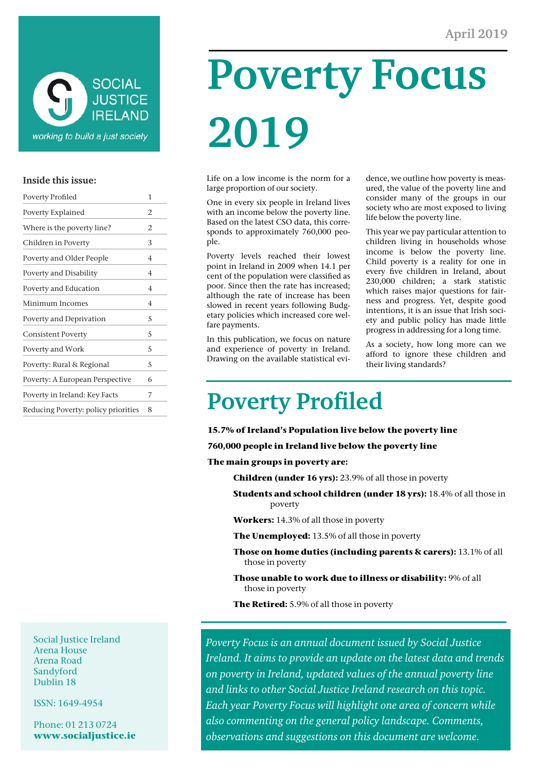

#### **Inside this issue:**

| <b>Poverty Profiled</b>             | 1 |
|-------------------------------------|---|
| Poverty Explained                   | 2 |
| Where is the poverty line?          | 2 |
| Children in Poverty                 | 3 |
| Poverty and Older People            | 4 |
| Poverty and Disability              | 4 |
| Poverty and Education               | 4 |
| Minimum Incomes                     | 4 |
| Poverty and Deprivation             | 5 |
| <b>Consistent Poverty</b>           | 5 |
| Poverty and Work                    | 5 |
| Poverty: Rural & Regional           | 5 |
| Poverty: A European Perspective     | 6 |
| Poverty in Ireland: Key Facts       | 7 |
| Reducing Poverty: policy priorities | 8 |
|                                     |   |

**Poverty Focus 2019** 

Life on a low income is the norm for a large proportion of our society.

One in every six people in Ireland lives with an income below the poverty line. Based on the latest CSO data, this corresponds to approximately 760,000 people.

Poverty levels reached their lowest point in Ireland in 2009 when 14.1 per cent of the population were classified as poor. Since then the rate has increased; although the rate of increase has been slowed in recent years following Budgetary policies which increased core welfare payments.

In this publication, we focus on nature and experience of poverty in Ireland. Drawing on the available statistical evidence, we outline how poverty is measured, the value of the poverty line and consider many of the groups in our society who are most exposed to living life below the poverty line.

This year we pay particular attention to children living in households whose income is below the poverty line. Child poverty is a reality for one in every five children in Ireland, about 230,000 children; a stark statistic which raises major questions for fairness and progress. Yet, despite good intentions, it is an issue that Irish society and public policy has made little progress in addressing for a long time.

As a society, how long more can we afford to ignore these children and their living standards?

# **Poverty Profiled**

**15.7% of Ireland's Population live below the poverty line** 

**760,000 people in Ireland live below the poverty line** 

**The main groups in poverty are:** 

 **Children (under 16 yrs):** 23.9% of all those in poverty

 **Students and school children (under 18 yrs):** 18.4% of all those in poverty

 **Workers:** 14.3% of all those in poverty

 **The Unemployed:** 13.5% of all those in poverty

- **Those on home duties (including parents & carers):** 13.1% of all those in poverty
- **Those unable to work due to illness or disability:** 9% of all those in poverty

 **The Retired:** 5.9% of all those in poverty

*Poverty Focus is an annual document issued by Social Justice Ireland. It aims to provide an update on the latest data and trends on poverty in Ireland, updated values of the annual poverty line and links to other Social Justice Ireland research on this topic. Each year Poverty Focus will highlight one area of concern while also commenting on the general policy landscape. Comments, observations and suggestions on this document are welcome.* 

Social Justice Ireland Arena House Arena Road Sandyford Dublin 18

ISSN: 1649-4954

Phone: 01 213 0724 **www.socialjustice.ie**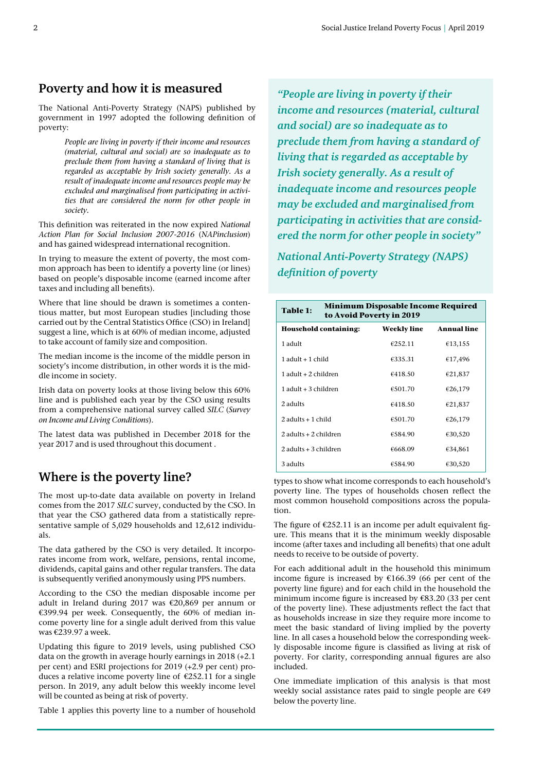#### **Poverty and how it is measured**

The National Anti-Poverty Strategy (NAPS) published by government in 1997 adopted the following definition of poverty:

> *People are living in poverty if their income and resources (material, cultural and social) are so inadequate as to preclude them from having a standard of living that is regarded as acceptable by Irish society generally. As a result of inadequate income and resources people may be excluded and marginalised from participating in activities that are considered the norm for other people in society.*

This definition was reiterated in the now expired *National Action Plan for Social Inclusion 2007-2016* (*NAPinclusion*) and has gained widespread international recognition.

In trying to measure the extent of poverty, the most common approach has been to identify a poverty line (or lines) based on people's disposable income (earned income after taxes and including all benefits).

Where that line should be drawn is sometimes a contentious matter, but most European studies [including those carried out by the Central Statistics Office (CSO) in Ireland] suggest a line, which is at 60% of median income, adjusted to take account of family size and composition.

The median income is the income of the middle person in society's income distribution, in other words it is the middle income in society.

Irish data on poverty looks at those living below this 60% line and is published each year by the CSO using results from a comprehensive national survey called *SILC* (*Survey on Income and Living Conditions*).

The latest data was published in December 2018 for the year 2017 and is used throughout this document .

#### **Where is the poverty line?**

The most up-to-date data available on poverty in Ireland comes from the 2017 *SILC* survey, conducted by the CSO. In that year the CSO gathered data from a statistically representative sample of 5,029 households and 12,612 individuals.

The data gathered by the CSO is very detailed. It incorporates income from work, welfare, pensions, rental income, dividends, capital gains and other regular transfers. The data is subsequently verified anonymously using PPS numbers.

According to the CSO the median disposable income per adult in Ireland during 2017 was €20,869 per annum or €399.94 per week. Consequently, the 60% of median income poverty line for a single adult derived from this value was €239.97 a week.

Updating this figure to 2019 levels, using published CSO data on the growth in average hourly earnings in 2018 (+2.1 per cent) and ESRI projections for 2019 (+2.9 per cent) produces a relative income poverty line of  $E$ 252.11 for a single person. In 2019, any adult below this weekly income level will be counted as being at risk of poverty.

Table 1 applies this poverty line to a number of household

*"People are living in poverty if their income and resources (material, cultural and social) are so inadequate as to preclude them from having a standard of living that is regarded as acceptable by Irish society generally. As a result of inadequate income and resources people may be excluded and marginalised from participating in activities that are considered the norm for other people in society"* 

*National Anti-Poverty Strategy (NAPS) definition of poverty* 

| <b>Minimum Disposable Income Required</b><br>Table 1:<br>to Avoid Poverty in 2019 |                    |                    |  |
|-----------------------------------------------------------------------------------|--------------------|--------------------|--|
| <b>Household containing:</b>                                                      | <b>Weekly line</b> | <b>Annual line</b> |  |
| 1 adult                                                                           | €252.11            | €13,155            |  |
| $1$ adult $+1$ child                                                              | €335.31            | €17,496            |  |
| 1 adult + 2 children                                                              | €418.50            | €21,837            |  |
| $1$ adult $+3$ children                                                           | €501.70            | €26,179            |  |
| 2 adults                                                                          | €418.50            | €21,837            |  |
| $2$ adults $+1$ child                                                             | €501.70            | €26,179            |  |
| $2$ adults $+2$ children                                                          | €584.90            | €30,520            |  |
| $2$ adults $+3$ children                                                          | €668.09            | €34,861            |  |
| 3 adults                                                                          | €584.90            | €30,520            |  |

types to show what income corresponds to each household's poverty line. The types of households chosen reflect the most common household compositions across the population.

The figure of  $E252.11$  is an income per adult equivalent figure. This means that it is the minimum weekly disposable income (after taxes and including all benefits) that one adult needs to receive to be outside of poverty.

For each additional adult in the household this minimum income figure is increased by €166.39 (66 per cent of the poverty line figure) and for each child in the household the minimum income figure is increased by €83.20 (33 per cent of the poverty line). These adjustments reflect the fact that as households increase in size they require more income to meet the basic standard of living implied by the poverty line. In all cases a household below the corresponding weekly disposable income figure is classified as living at risk of poverty. For clarity, corresponding annual figures are also included.

One immediate implication of this analysis is that most weekly social assistance rates paid to single people are €49 below the poverty line.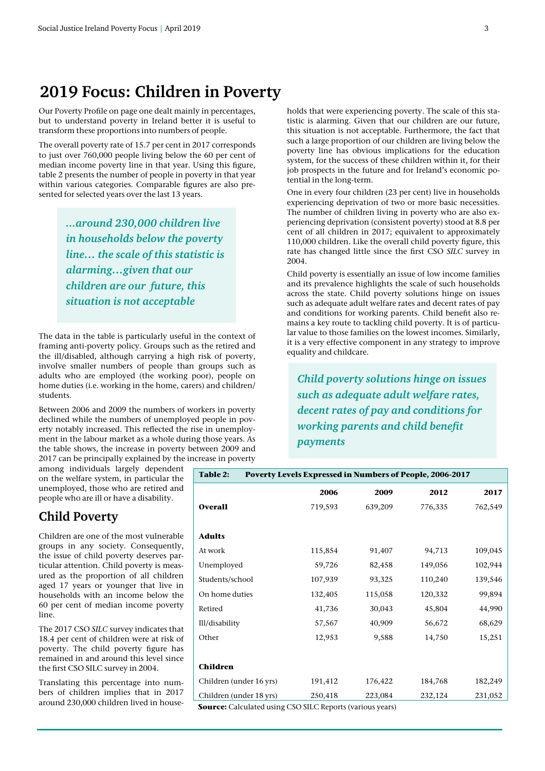## **2019 Focus: Children in Poverty**

Our Poverty Profile on page one dealt mainly in percentages, but to understand poverty in Ireland better it is useful to transform these proportions into numbers of people.

The overall poverty rate of 15.7 per cent in 2017 corresponds to just over 760,000 people living below the 60 per cent of median income poverty line in that year. Using this figure, table 2 presents the number of people in poverty in that year within various categories. Comparable figures are also presented for selected years over the last 13 years.

> *...around 230,000 children live in households below the poverty line… the scale of this statistic is alarming…given that our children are our future, this situation is not acceptable*

The data in the table is particularly useful in the context of framing anti-poverty policy. Groups such as the retired and the ill/disabled, although carrying a high risk of poverty, involve smaller numbers of people than groups such as adults who are employed (the working poor), people on home duties (i.e. working in the home, carers) and children/ students.

Between 2006 and 2009 the numbers of workers in poverty declined while the numbers of unemployed people in poverty notably increased. This reflected the rise in unemployment in the labour market as a whole during those years. As the table shows, the increase in poverty between 2009 and 2017 can be principally explained by the increase in poverty

among individuals largely dependent on the welfare system, in particular the unemployed, those who are retired and people who are ill or have a disability.

#### **Child Poverty**

Children are one of the most vulnerable groups in any society. Consequently, the issue of child poverty deserves particular attention. Child poverty is measured as the proportion of all children aged 17 years or younger that live in households with an income below the 60 per cent of median income poverty line.

The 2017 CSO *SILC* survey indicates that 18.4 per cent of children were at risk of poverty. The child poverty figure has remained in and around this level since the first CSO SILC survey in 2004.

Translating this percentage into numbers of children implies that in 2017 around 230,000 children lived in households that were experiencing poverty. The scale of this statistic is alarming. Given that our children are our future, this situation is not acceptable. Furthermore, the fact that such a large proportion of our children are living below the poverty line has obvious implications for the education system, for the success of these children within it, for their job prospects in the future and for Ireland's economic potential in the long-term.

One in every four children (23 per cent) live in households experiencing deprivation of two or more basic necessities. The number of children living in poverty who are also experiencing deprivation (consistent poverty) stood at 8.8 per cent of all children in 2017; equivalent to approximately 110,000 children. Like the overall child poverty figure, this rate has changed little since the first CSO *SILC* survey in 2004.

Child poverty is essentially an issue of low income families and its prevalence highlights the scale of such households across the state. Child poverty solutions hinge on issues such as adequate adult welfare rates and decent rates of pay and conditions for working parents. Child benefit also remains a key route to tackling child poverty. It is of particular value to those families on the lowest incomes. Similarly, it is a very effective component in any strategy to improve equality and childcare.

*Child poverty solutions hinge on issues such as adequate adult welfare rates, decent rates of pay and conditions for working parents and child benefit payments* 

| Poverty Levels Expressed in Numbers of People, 2006-2017<br><b>Table 2:</b> |         |         |         |         |
|-----------------------------------------------------------------------------|---------|---------|---------|---------|
|                                                                             | 2006    | 2009    | 2012    | 2017    |
| <b>Overall</b>                                                              | 719,593 | 639,209 | 776,335 | 762,549 |
| <b>Adults</b>                                                               |         |         |         |         |
| At work                                                                     | 115,854 | 91,407  | 94,713  | 109,045 |
| Unemployed                                                                  | 59,726  | 82,458  | 149,056 | 102,944 |
| Students/school                                                             | 107,939 | 93,325  | 110,240 | 139,546 |
| On home duties                                                              | 132,405 | 115,058 | 120,332 | 99,894  |
| Retired                                                                     | 41,736  | 30,043  | 45,804  | 44,990  |
| Ill/disability                                                              | 57,567  | 40,909  | 56,672  | 68,629  |
| Other                                                                       | 12,953  | 9,588   | 14,750  | 15,251  |
| <b>Children</b>                                                             |         |         |         |         |
| Children (under 16 yrs)                                                     | 191,412 | 176,422 | 184,768 | 182,249 |
| Children (under 18 yrs)                                                     | 250,418 | 223,084 | 232,124 | 231,052 |

**Source:** Calculated using CSO SILC Reports (various years)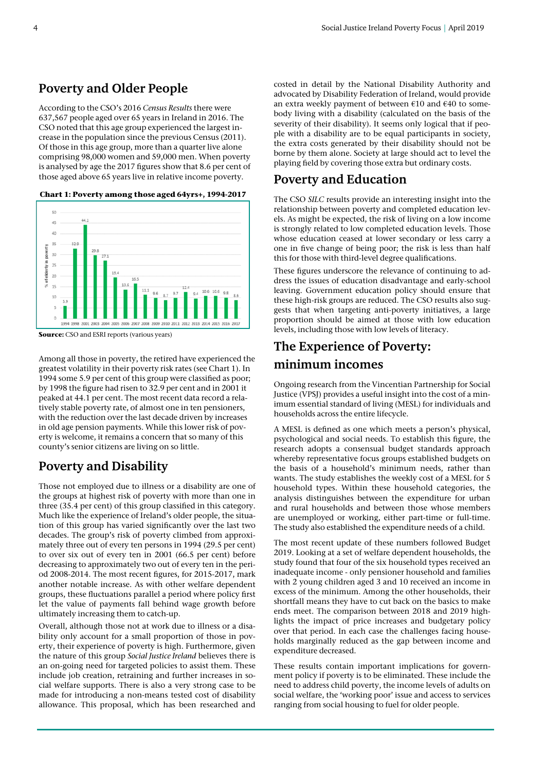#### **Poverty and Older People**

According to the CSO's 2016 *Census Results* there were 637,567 people aged over 65 years in Ireland in 2016. The CSO noted that this age group experienced the largest increase in the population since the previous Census (2011). Of those in this age group, more than a quarter live alone comprising 98,000 women and 59,000 men. When poverty is analysed by age the 2017 figures show that 8.6 per cent of those aged above 65 years live in relative income poverty.

**Chart 1: Poverty among those aged 64yrs+, 1994-2017**



**Source:** CSO and ESRI reports (various years)

Among all those in poverty, the retired have experienced the greatest volatility in their poverty risk rates (see Chart 1). In 1994 some 5.9 per cent of this group were classified as poor; by 1998 the figure had risen to 32.9 per cent and in 2001 it peaked at 44.1 per cent. The most recent data record a relatively stable poverty rate, of almost one in ten pensioners, with the reduction over the last decade driven by increases in old age pension payments. While this lower risk of poverty is welcome, it remains a concern that so many of this county's senior citizens are living on so little.

#### **Poverty and Disability**

Those not employed due to illness or a disability are one of the groups at highest risk of poverty with more than one in three (35.4 per cent) of this group classified in this category. Much like the experience of Ireland's older people, the situation of this group has varied significantly over the last two decades. The group's risk of poverty climbed from approximately three out of every ten persons in 1994 (29.5 per cent) to over six out of every ten in 2001 (66.5 per cent) before decreasing to approximately two out of every ten in the period 2008-2014. The most recent figures, for 2015-2017, mark another notable increase. As with other welfare dependent groups, these fluctuations parallel a period where policy first let the value of payments fall behind wage growth before ultimately increasing them to catch-up.

Overall, although those not at work due to illness or a disability only account for a small proportion of those in poverty, their experience of poverty is high. Furthermore, given the nature of this group *Social Justice Ireland* believes there is an on-going need for targeted policies to assist them. These include job creation, retraining and further increases in social welfare supports. There is also a very strong case to be made for introducing a non-means tested cost of disability allowance. This proposal, which has been researched and costed in detail by the National Disability Authority and advocated by Disability Federation of Ireland, would provide an extra weekly payment of between €10 and €40 to somebody living with a disability (calculated on the basis of the severity of their disability). It seems only logical that if people with a disability are to be equal participants in society, the extra costs generated by their disability should not be borne by them alone. Society at large should act to level the playing field by covering those extra but ordinary costs.

#### **Poverty and Education**

The CSO *SILC* results provide an interesting insight into the relationship between poverty and completed education levels. As might be expected, the risk of living on a low income is strongly related to low completed education levels. Those whose education ceased at lower secondary or less carry a one in five change of being poor; the risk is less than half this for those with third-level degree qualifications.

These figures underscore the relevance of continuing to address the issues of education disadvantage and early-school leaving. Government education policy should ensure that these high-risk groups are reduced. The CSO results also suggests that when targeting anti-poverty initiatives, a large proportion should be aimed at those with low education levels, including those with low levels of literacy.

### **The Experience of Poverty: minimum incomes**

Ongoing research from the Vincentian Partnership for Social Justice (VPSJ) provides a useful insight into the cost of a minimum essential standard of living (MESL) for individuals and households across the entire lifecycle.

A MESL is defined as one which meets a person's physical, psychological and social needs. To establish this figure, the research adopts a consensual budget standards approach whereby representative focus groups established budgets on the basis of a household's minimum needs, rather than wants. The study establishes the weekly cost of a MESL for 5 household types. Within these household categories, the analysis distinguishes between the expenditure for urban and rural households and between those whose members are unemployed or working, either part-time or full-time. The study also established the expenditure needs of a child.

The most recent update of these numbers followed Budget 2019. Looking at a set of welfare dependent households, the study found that four of the six household types received an inadequate income - only pensioner household and families with 2 young children aged 3 and 10 received an income in excess of the minimum. Among the other households, their shortfall means they have to cut back on the basics to make ends meet. The comparison between 2018 and 2019 highlights the impact of price increases and budgetary policy over that period. In each case the challenges facing households marginally reduced as the gap between income and expenditure decreased.

These results contain important implications for government policy if poverty is to be eliminated. These include the need to address child poverty, the income levels of adults on social welfare, the 'working poor' issue and access to services ranging from social housing to fuel for older people.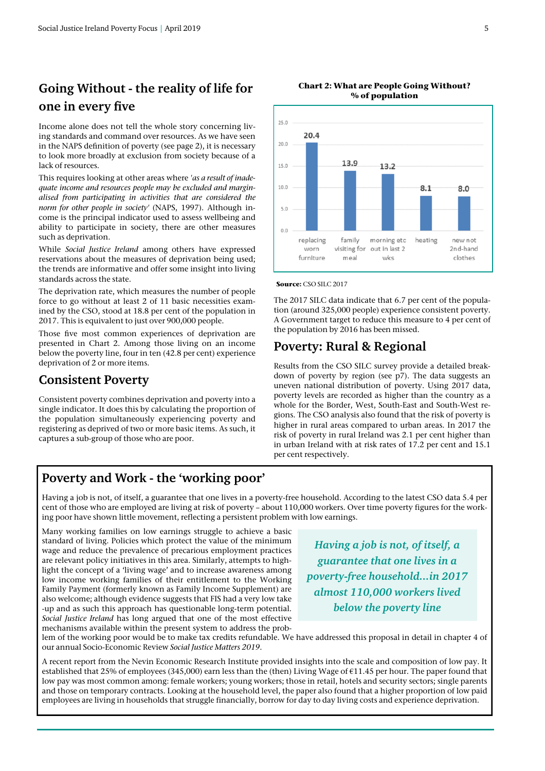## **Going Without - the reality of life for one in every five**

Income alone does not tell the whole story concerning living standards and command over resources. As we have seen in the NAPS definition of poverty (see page 2), it is necessary to look more broadly at exclusion from society because of a lack of resources.

This requires looking at other areas where *'as a result of inadequate income and resources people may be excluded and marginalised from participating in activities that are considered the norm for other people in society'* (NAPS, 1997). Although income is the principal indicator used to assess wellbeing and ability to participate in society, there are other measures such as deprivation.

While *Social Justice Ireland* among others have expressed reservations about the measures of deprivation being used; the trends are informative and offer some insight into living standards across the state.

The deprivation rate, which measures the number of people force to go without at least 2 of 11 basic necessities examined by the CSO, stood at 18.8 per cent of the population in 2017. This is equivalent to just over 900,000 people.

Those five most common experiences of deprivation are presented in Chart 2. Among those living on an income below the poverty line, four in ten (42.8 per cent) experience deprivation of 2 or more items.

#### **Consistent Poverty**

Consistent poverty combines deprivation and poverty into a single indicator. It does this by calculating the proportion of the population simultaneously experiencing poverty and registering as deprived of two or more basic items. As such, it captures a sub-group of those who are poor.



#### **Chart 2: What are People Going Without? % of population**



The 2017 SILC data indicate that 6.7 per cent of the population (around 325,000 people) experience consistent poverty. A Government target to reduce this measure to 4 per cent of the population by 2016 has been missed.

#### **Poverty: Rural & Regional**

Results from the CSO SILC survey provide a detailed breakdown of poverty by region (see p7). The data suggests an uneven national distribution of poverty. Using 2017 data, poverty levels are recorded as higher than the country as a whole for the Border, West, South-East and South-West regions. The CSO analysis also found that the risk of poverty is higher in rural areas compared to urban areas. In 2017 the risk of poverty in rural Ireland was 2.1 per cent higher than in urban Ireland with at risk rates of 17.2 per cent and 15.1 per cent respectively.

#### **Poverty and Work - the 'working poor'**

Having a job is not, of itself, a guarantee that one lives in a poverty-free household. According to the latest CSO data 5.4 per cent of those who are employed are living at risk of poverty – about 110,000 workers. Over time poverty figures for the working poor have shown little movement, reflecting a persistent problem with low earnings.

Many working families on low earnings struggle to achieve a basic standard of living. Policies which protect the value of the minimum wage and reduce the prevalence of precarious employment practices are relevant policy initiatives in this area. Similarly, attempts to highlight the concept of a 'living wage' and to increase awareness among low income working families of their entitlement to the Working Family Payment (formerly known as Family Income Supplement) are also welcome; although evidence suggests that FIS had a very low take -up and as such this approach has questionable long-term potential. *Social Justice Ireland* has long argued that one of the most effective mechanisms available within the present system to address the prob-

*Having a job is not, of itself, a guarantee that one lives in a poverty-free household...in 2017 almost 110,000 workers lived below the poverty line* 

lem of the working poor would be to make tax credits refundable. We have addressed this proposal in detail in chapter 4 of our annual Socio-Economic Review *Social Justice Matters 2019*.

A recent report from the Nevin Economic Research Institute provided insights into the scale and composition of low pay. It established that 25% of employees (345,000) earn less than the (then) Living Wage of €11.45 per hour. The paper found that low pay was most common among: female workers; young workers; those in retail, hotels and security sectors; single parents and those on temporary contracts. Looking at the household level, the paper also found that a higher proportion of low paid employees are living in households that struggle financially, borrow for day to day living costs and experience deprivation.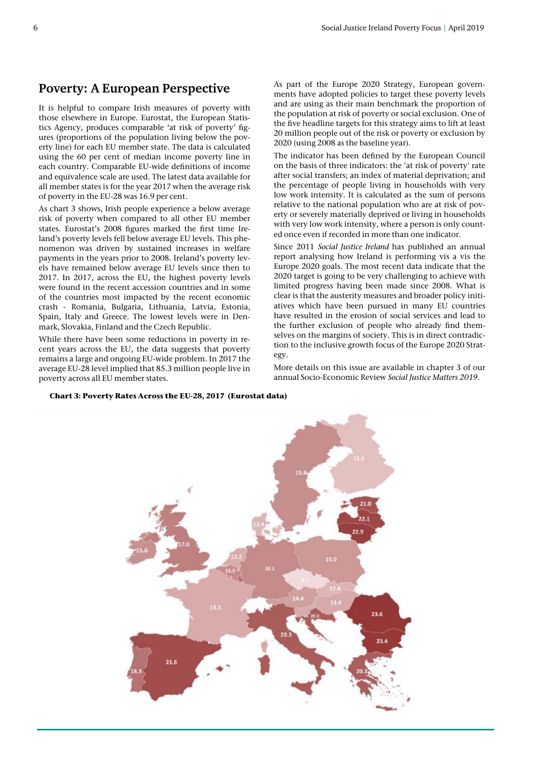#### **Poverty: A European Perspective**

It is helpful to compare Irish measures of poverty with those elsewhere in Europe. Eurostat, the European Statistics Agency, produces comparable 'at risk of poverty' figures (proportions of the population living below the poverty line) for each EU member state. The data is calculated using the 60 per cent of median income poverty line in each country. Comparable EU-wide definitions of income and equivalence scale are used. The latest data available for all member states is for the year 2017 when the average risk of poverty in the EU-28 was 16.9 per cent.

As chart 3 shows, Irish people experience a below average risk of poverty when compared to all other EU member states. Eurostat's 2008 figures marked the first time Ireland's poverty levels fell below average EU levels. This phenomenon was driven by sustained increases in welfare payments in the years prior to 2008. Ireland's poverty levels have remained below average EU levels since then to 2017. In 2017, across the EU, the highest poverty levels were found in the recent accession countries and in some of the countries most impacted by the recent economic crash - Romania, Bulgaria, Lithuania, Latvia, Estonia, Spain, Italy and Greece. The lowest levels were in Denmark, Slovakia, Finland and the Czech Republic.

While there have been some reductions in poverty in recent years across the EU, the data suggests that poverty remains a large and ongoing EU-wide problem. In 2017 the average EU-28 level implied that 85.3 million people live in poverty across all EU member states.

As part of the Europe 2020 Strategy, European governments have adopted policies to target these poverty levels and are using as their main benchmark the proportion of the population at risk of poverty or social exclusion. One of the five headline targets for this strategy aims to lift at least 20 million people out of the risk or poverty or exclusion by 2020 (using 2008 as the baseline year).

The indicator has been defined by the European Council on the basis of three indicators: the 'at risk of poverty' rate after social transfers; an index of material deprivation; and the percentage of people living in households with very low work intensity. It is calculated as the sum of persons relative to the national population who are at risk of poverty or severely materially deprived or living in households with very low work intensity, where a person is only counted once even if recorded in more than one indicator.

Since 2011 *Social Justice Ireland* has published an annual report analysing how Ireland is performing vis a vis the Europe 2020 goals. The most recent data indicate that the 2020 target is going to be very challenging to achieve with limited progress having been made since 2008. What is clear is that the austerity measures and broader policy initiatives which have been pursued in many EU countries have resulted in the erosion of social services and lead to the further exclusion of people who already find themselves on the margins of society. This is in direct contradiction to the inclusive growth focus of the Europe 2020 Strategy.

More details on this issue are available in chapter 3 of our annual Socio-Economic Review *Social Justice Matters 2019*.

**Chart 3: Poverty Rates Across the EU-28, 2017 (Eurostat data)** 

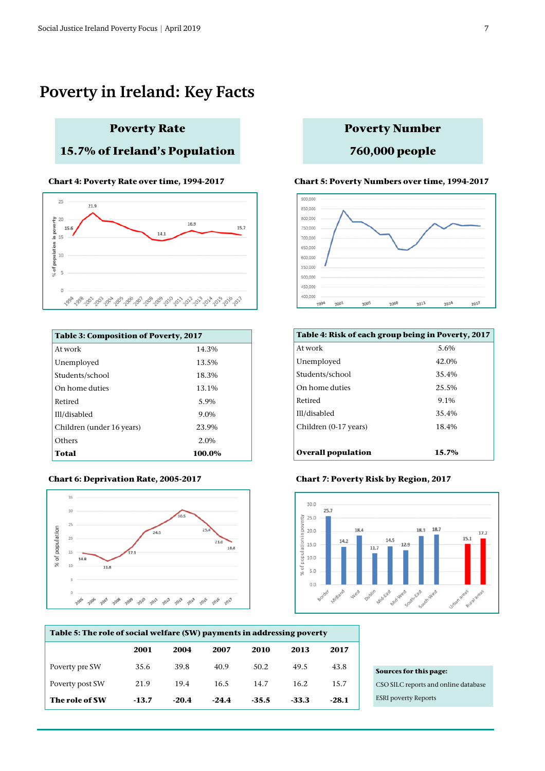## **Poverty in Ireland: Key Facts**

## **Poverty Rate**

#### **15.7% of Ireland's Population**



| <b>Table 3: Composition of Poverty, 2017</b> |         |  |  |
|----------------------------------------------|---------|--|--|
| At work                                      | 14.3%   |  |  |
| Unemployed                                   | 13.5%   |  |  |
| Students/school                              | 18.3%   |  |  |
| On home duties                               | 13.1%   |  |  |
| Retired                                      | 5.9%    |  |  |
| Ill/disabled                                 | 9.0%    |  |  |
| Children (under 16 years)                    | 23.9%   |  |  |
| Others                                       | $2.0\%$ |  |  |
| Total                                        | 100.0%  |  |  |



#### **Poverty Number**

#### **760,000 people**

#### **Chart 4: Poverty Rate over time, 1994-2017 Chart 5: Poverty Numbers over time, 1994-2017**



| Table 4: Risk of each group being in Poverty, 2017 |       |  |
|----------------------------------------------------|-------|--|
| At work                                            | 5.6%  |  |
| Unemployed                                         | 42.0% |  |
| Students/school                                    | 35.4% |  |
| On home duties                                     | 25.5% |  |
| Retired                                            | 9.1%  |  |
| Ill/disabled                                       | 35.4% |  |
| Children (0-17 years)                              | 18.4% |  |
|                                                    |       |  |
| <b>Overall population</b>                          | 15.7% |  |

#### **Chart 6: Deprivation Rate, 2005-2017 Chart 7: Poverty Risk by Region, 2017**



| Table 5: The role of social welfare (SW) payments in addressing poverty |         |         |         |         |         |         |
|-------------------------------------------------------------------------|---------|---------|---------|---------|---------|---------|
|                                                                         | 2001    | 2004    | 2007    | 2010    | 2013    | 2017    |
| Poverty pre SW                                                          | 35.6    | 39.8    | 40.9    | 50.2    | 49.5    | 43.8    |
| Poverty post SW                                                         | 21.9    | 19.4    | 16.5    | 14.7    | 16.2    | 15.7    |
| The role of SW                                                          | $-13.7$ | $-20.4$ | $-24.4$ | $-35.5$ | $-33.3$ | $-28.1$ |

#### **Sources for this page:**

CSO SILC reports and online database ESRI poverty Reports